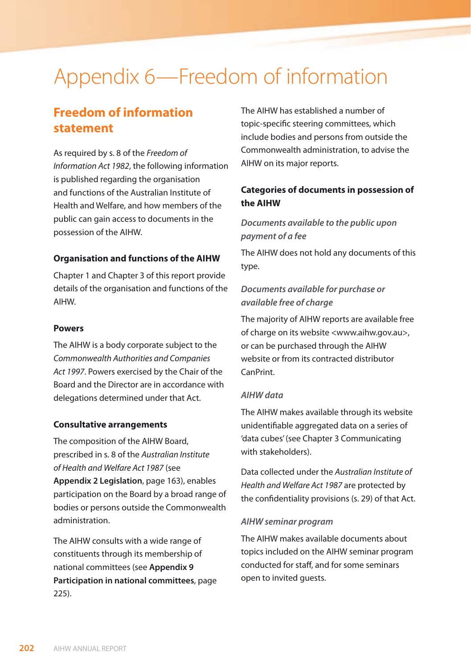# Appendix 6—Freedom of information

# **Freedom of information statement**

As required by s. 8 of the *Freedom of Information Act 1982*, the following information is published regarding the organisation and functions of the Australian Institute of Health and Welfare, and how members of the public can gain access to documents in the possession of the AIHW.

#### **Organisation and functions of the AIHW**

Chapter 1 and Chapter 3 of this report provide details of the organisation and functions of the AIHW.

#### **Powers**

The AIHW is a body corporate subject to the *Commonwealth Authorities and Companies Act 1997*. Powers exercised by the Chair of the Board and the Director are in accordance with delegations determined under that Act.

#### **Consultative arrangements**

The composition of the AIHW Board, prescribed in s. 8 of the *Australian Institute of Health and Welfare Act 1987* (see **Appendix 2 Legislation**, page 163), enables participation on the Board by a broad range of bodies or persons outside the Commonwealth administration.

The AIHW consults with a wide range of constituents through its membership of national committees (see **Appendix 9 Participation in national committees**, page 225).

The AIHW has established a number of topic-specific steering committees, which include bodies and persons from outside the Commonwealth administration, to advise the AIHW on its major reports.

# **Categories of documents in possession of the AIHW**

## *Documents available to the public upon payment of a fee*

The AIHW does not hold any documents of this type.

## *Documents available for purchase or available free of charge*

The majority of AIHW reports are available free of charge on its website <www.aihw.gov.au>, or can be purchased through the AIHW website or from its contracted distributor CanPrint.

#### *AIHW data*

The AIHW makes available through its website unidentifiable aggregated data on a series of 'data cubes' (see Chapter 3 Communicating with stakeholders).

Data collected under the *Australian Institute of Health and Welfare Act 1987* are protected by the confidentiality provisions (s. 29) of that Act.

#### *AIHW seminar program*

The AIHW makes available documents about topics included on the AIHW seminar program conducted for staff, and for some seminars open to invited guests.